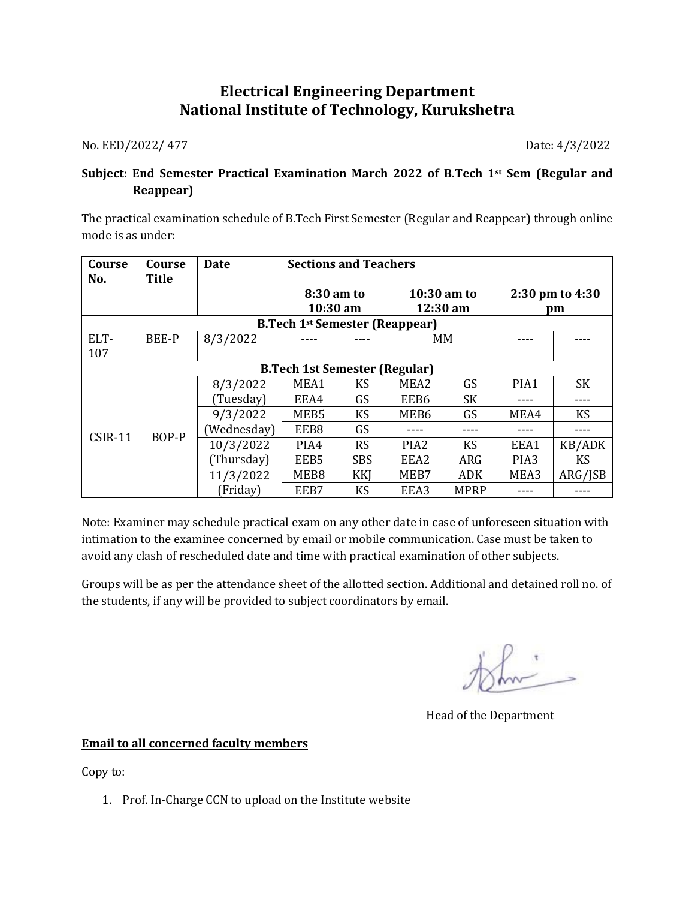## **Electrical Engineering Department National Institute of Technology, Kurukshetra**

No. EED/2022/ 477 Date: 4/3/2022

## **Subject: End Semester Practical Examination March 2022 of B.Tech 1st Sem (Regular and Reappear)**

The practical examination schedule of B.Tech First Semester (Regular and Reappear) through online mode is as under:

| Course<br>No.                         | Course<br><b>Title</b> | Date        | <b>Sections and Teachers</b> |            |                  |             |                  |           |
|---------------------------------------|------------------------|-------------|------------------------------|------------|------------------|-------------|------------------|-----------|
|                                       |                        |             | 8:30 am to                   |            | 10:30 am to      |             | 2:30 pm to 4:30  |           |
|                                       |                        |             | $10:30$ am                   |            | 12:30 am         |             | pm               |           |
| <b>B.Tech 1st Semester (Reappear)</b> |                        |             |                              |            |                  |             |                  |           |
| ELT-                                  | <b>BEE-P</b>           | 8/3/2022    |                              |            | MM               |             |                  |           |
| 107                                   |                        |             |                              |            |                  |             |                  |           |
| <b>B.Tech 1st Semester (Regular)</b>  |                        |             |                              |            |                  |             |                  |           |
| <b>CSIR-11</b>                        | BOP-P                  | 8/3/2022    | MEA1                         | <b>KS</b>  | MEA2             | GS          | PIA1             | <b>SK</b> |
|                                       |                        | (Tuesday)   | EEA4                         | GS         | EEB6             | <b>SK</b>   |                  |           |
|                                       |                        | 9/3/2022    | MEB5                         | <b>KS</b>  | MEB6             | GS          | MEA4             | <b>KS</b> |
|                                       |                        | (Wednesday) | EEB8                         | GS         |                  |             |                  |           |
|                                       |                        | 10/3/2022   | PIA4                         | <b>RS</b>  | PIA <sub>2</sub> | KS          | EEA1             | KB/ADK    |
|                                       |                        | (Thursday)  | EEB5                         | <b>SBS</b> | EEA2             | ARG         | PIA <sub>3</sub> | <b>KS</b> |
|                                       |                        | 11/3/2022   | MEB8                         | KKJ        | MEB7             | <b>ADK</b>  | MEA3             | ARG/JSB   |
|                                       |                        | (Friday)    | EEB7                         | <b>KS</b>  | EEA3             | <b>MPRP</b> |                  |           |

Note: Examiner may schedule practical exam on any other date in case of unforeseen situation with intimation to the examinee concerned by email or mobile communication. Case must be taken to avoid any clash of rescheduled date and time with practical examination of other subjects.

Groups will be as per the attendance sheet of the allotted section. Additional and detained roll no. of the students, if any will be provided to subject coordinators by email.

Head of the Department

## **Email to all concerned faculty members**

Copy to:

1. Prof. In-Charge CCN to upload on the Institute website